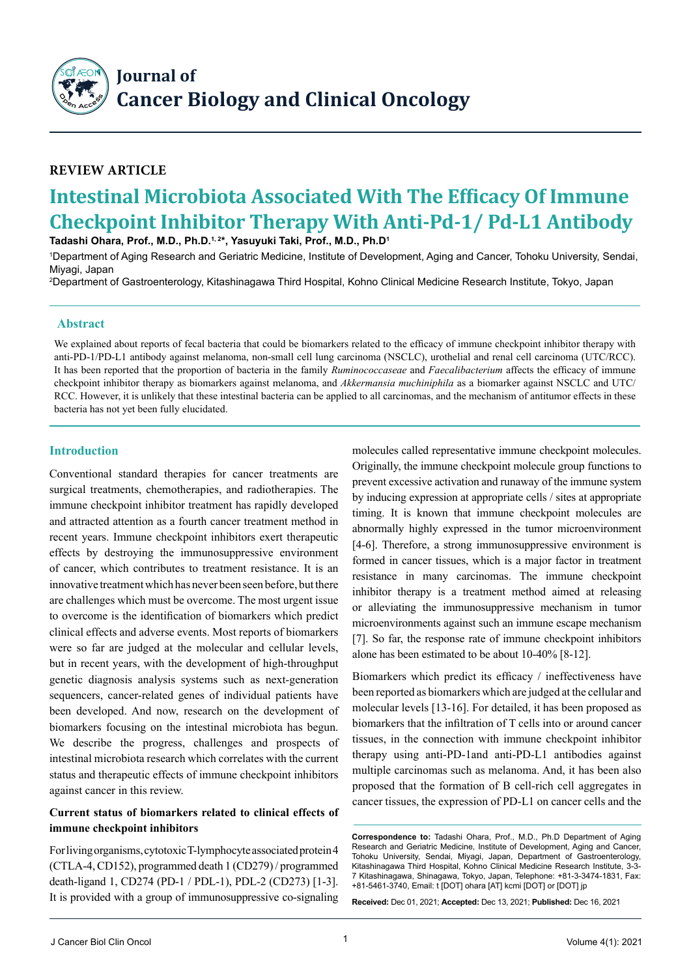

## **Review Article**

# **Intestinal Microbiota Associated With The Efficacy Of Immune Checkpoint Inhibitor Therapy With Anti-Pd-1/ Pd-L1 Antibody Tadashi Ohara, Prof., M.D., Ph.D.1, 2\*, Yasuyuki Taki, Prof., M.D., Ph.D1**

1 Department of Aging Research and Geriatric Medicine, Institute of Development, Aging and Cancer, Tohoku University, Sendai, Miyagi, Japan

2 Department of Gastroenterology, Kitashinagawa Third Hospital, Kohno Clinical Medicine Research Institute, Tokyo, Japan

#### **Abstract**

We explained about reports of fecal bacteria that could be biomarkers related to the efficacy of immune checkpoint inhibitor therapy with anti-PD-1/PD-L1 antibody against melanoma, non-small cell lung carcinoma (NSCLC), urothelial and renal cell carcinoma (UTC/RCC). It has been reported that the proportion of bacteria in the family *Ruminococcaseae* and *Faecalibacterium* affects the efficacy of immune checkpoint inhibitor therapy as biomarkers against melanoma, and *Akkermansia muchiniphila* as a biomarker against NSCLC and UTC/ RCC. However, it is unlikely that these intestinal bacteria can be applied to all carcinomas, and the mechanism of antitumor effects in these bacteria has not yet been fully elucidated.

### **Introduction**

Conventional standard therapies for cancer treatments are surgical treatments, chemotherapies, and radiotherapies. The immune checkpoint inhibitor treatment has rapidly developed and attracted attention as a fourth cancer treatment method in recent years. Immune checkpoint inhibitors exert therapeutic effects by destroying the immunosuppressive environment of cancer, which contributes to treatment resistance. It is an innovative treatment which has never been seen before, but there are challenges which must be overcome. The most urgent issue to overcome is the identification of biomarkers which predict clinical effects and adverse events. Most reports of biomarkers were so far are judged at the molecular and cellular levels, but in recent years, with the development of high-throughput genetic diagnosis analysis systems such as next-generation sequencers, cancer-related genes of individual patients have been developed. And now, research on the development of biomarkers focusing on the intestinal microbiota has begun. We describe the progress, challenges and prospects of intestinal microbiota research which correlates with the current status and therapeutic effects of immune checkpoint inhibitors against cancer in this review.

### **Current status of biomarkers related to clinical effects of immune checkpoint inhibitors**

For living organisms, cytotoxic T-lymphocyte associated protein 4 (CTLA-4, CD152), programmed death 1 (CD279) / programmed death-ligand 1, CD274 (PD-1 / PDL-1), PDL-2 (CD273) [1-3]. It is provided with a group of immunosuppressive co-signaling molecules called representative immune checkpoint molecules. Originally, the immune checkpoint molecule group functions to prevent excessive activation and runaway of the immune system by inducing expression at appropriate cells / sites at appropriate timing. It is known that immune checkpoint molecules are abnormally highly expressed in the tumor microenvironment [4-6]. Therefore, a strong immunosuppressive environment is formed in cancer tissues, which is a major factor in treatment resistance in many carcinomas. The immune checkpoint inhibitor therapy is a treatment method aimed at releasing or alleviating the immunosuppressive mechanism in tumor microenvironments against such an immune escape mechanism [7]. So far, the response rate of immune checkpoint inhibitors alone has been estimated to be about 10-40% [8-12].

Biomarkers which predict its efficacy / ineffectiveness have been reported as biomarkers which are judged at the cellular and molecular levels [13-16]. For detailed, it has been proposed as biomarkers that the infiltration of T cells into or around cancer tissues, in the connection with immune checkpoint inhibitor therapy using anti-PD-1and anti-PD-L1 antibodies against multiple carcinomas such as melanoma. And, it has been also proposed that the formation of B cell-rich cell aggregates in cancer tissues, the expression of PD-L1 on cancer cells and the

**Received:** Dec 01, 2021; **Accepted:** Dec 13, 2021; **Published:** Dec 16, 2021

**Correspondence to:** Tadashi Ohara, Prof., M.D., Ph.D Department of Aging Research and Geriatric Medicine, Institute of Development, Aging and Cancer, Tohoku University, Sendai, Miyagi, Japan, Department of Gastroenterology, Kitashinagawa Third Hospital, Kohno Clinical Medicine Research Institute, 3-3- 7 Kitashinagawa, Shinagawa, Tokyo, Japan, Telephone: +81-3-3474-1831, Fax: +81-5461-3740, Email: t [DOT] ohara [AT] kcmi [DOT] or [DOT] jp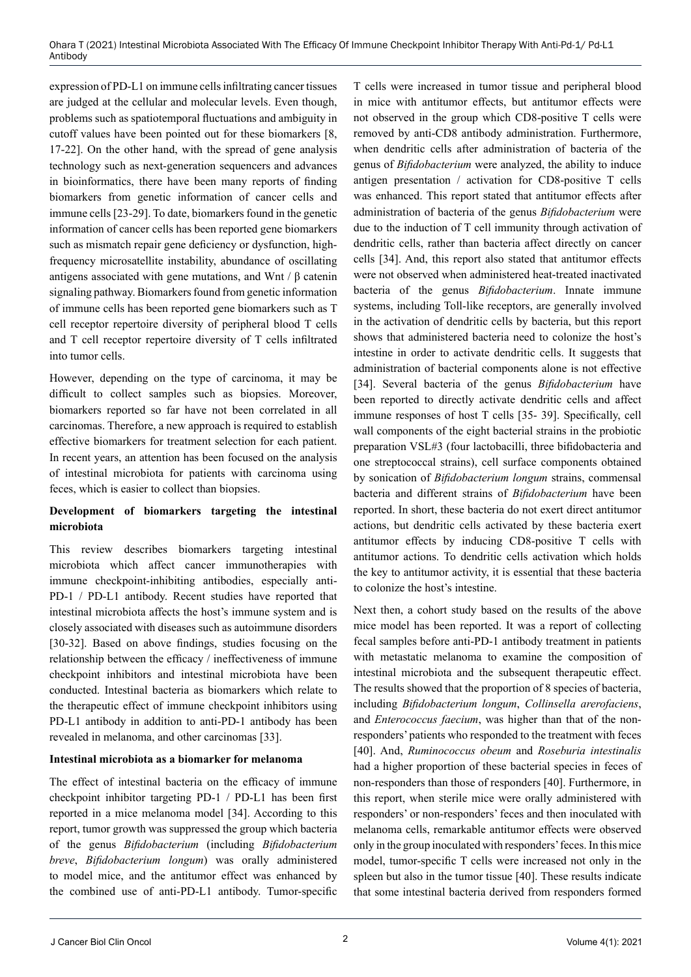expression of PD-L1 on immune cells infiltrating cancer tissues are judged at the cellular and molecular levels. Even though, problems such as spatiotemporal fluctuations and ambiguity in cutoff values have been pointed out for these biomarkers [8, 17-22]. On the other hand, with the spread of gene analysis technology such as next-generation sequencers and advances in bioinformatics, there have been many reports of finding biomarkers from genetic information of cancer cells and immune cells [23-29]. To date, biomarkers found in the genetic information of cancer cells has been reported gene biomarkers such as mismatch repair gene deficiency or dysfunction, highfrequency microsatellite instability, abundance of oscillating antigens associated with gene mutations, and Wnt / β catenin signaling pathway. Biomarkers found from genetic information of immune cells has been reported gene biomarkers such as T cell receptor repertoire diversity of peripheral blood T cells and T cell receptor repertoire diversity of T cells infiltrated into tumor cells.

However, depending on the type of carcinoma, it may be difficult to collect samples such as biopsies. Moreover, biomarkers reported so far have not been correlated in all carcinomas. Therefore, a new approach is required to establish effective biomarkers for treatment selection for each patient. In recent years, an attention has been focused on the analysis of intestinal microbiota for patients with carcinoma using feces, which is easier to collect than biopsies.

## **Development of biomarkers targeting the intestinal microbiota**

This review describes biomarkers targeting intestinal microbiota which affect cancer immunotherapies with immune checkpoint-inhibiting antibodies, especially anti-PD-1 / PD-L1 antibody. Recent studies have reported that intestinal microbiota affects the host's immune system and is closely associated with diseases such as autoimmune disorders [30-32]. Based on above findings, studies focusing on the relationship between the efficacy / ineffectiveness of immune checkpoint inhibitors and intestinal microbiota have been conducted. Intestinal bacteria as biomarkers which relate to the therapeutic effect of immune checkpoint inhibitors using PD-L1 antibody in addition to anti-PD-1 antibody has been revealed in melanoma, and other carcinomas [33].

#### **Intestinal microbiota as a biomarker for melanoma**

The effect of intestinal bacteria on the efficacy of immune checkpoint inhibitor targeting PD-1 / PD-L1 has been first reported in a mice melanoma model [34]. According to this report, tumor growth was suppressed the group which bacteria of the genus *Bifidobacterium* (including *Bifidobacterium breve*, *Bifidobacterium longum*) was orally administered to model mice, and the antitumor effect was enhanced by the combined use of anti-PD-L1 antibody. Tumor-specific T cells were increased in tumor tissue and peripheral blood in mice with antitumor effects, but antitumor effects were not observed in the group which CD8-positive T cells were removed by anti-CD8 antibody administration. Furthermore, when dendritic cells after administration of bacteria of the genus of *Bifidobacterium* were analyzed, the ability to induce antigen presentation / activation for CD8-positive T cells was enhanced. This report stated that antitumor effects after administration of bacteria of the genus *Bifidobacterium* were due to the induction of T cell immunity through activation of dendritic cells, rather than bacteria affect directly on cancer cells [34]. And, this report also stated that antitumor effects were not observed when administered heat-treated inactivated bacteria of the genus *Bifidobacterium*. Innate immune systems, including Toll-like receptors, are generally involved in the activation of dendritic cells by bacteria, but this report shows that administered bacteria need to colonize the host's intestine in order to activate dendritic cells. It suggests that administration of bacterial components alone is not effective [34]. Several bacteria of the genus *Bifidobacterium* have been reported to directly activate dendritic cells and affect immune responses of host T cells [35- 39]. Specifically, cell wall components of the eight bacterial strains in the probiotic preparation VSL#3 (four lactobacilli, three bifidobacteria and one streptococcal strains), cell surface components obtained by sonication of *Bifidobacterium longum* strains, commensal bacteria and different strains of *Bifidobacterium* have been reported. In short, these bacteria do not exert direct antitumor actions, but dendritic cells activated by these bacteria exert antitumor effects by inducing CD8-positive T cells with antitumor actions. To dendritic cells activation which holds the key to antitumor activity, it is essential that these bacteria to colonize the host's intestine.

Next then, a cohort study based on the results of the above mice model has been reported. It was a report of collecting fecal samples before anti-PD-1 antibody treatment in patients with metastatic melanoma to examine the composition of intestinal microbiota and the subsequent therapeutic effect. The results showed that the proportion of 8 species of bacteria, including *Bifidobacterium longum*, *Collinsella arerofaciens*, and *Enterococcus faecium*, was higher than that of the nonresponders' patients who responded to the treatment with feces [40]. And, *Ruminococcus obeum* and *Roseburia intestinalis* had a higher proportion of these bacterial species in feces of non-responders than those of responders [40]. Furthermore, in this report, when sterile mice were orally administered with responders' or non-responders' feces and then inoculated with melanoma cells, remarkable antitumor effects were observed only in the group inoculated with responders' feces. In this mice model, tumor-specific T cells were increased not only in the spleen but also in the tumor tissue [40]. These results indicate that some intestinal bacteria derived from responders formed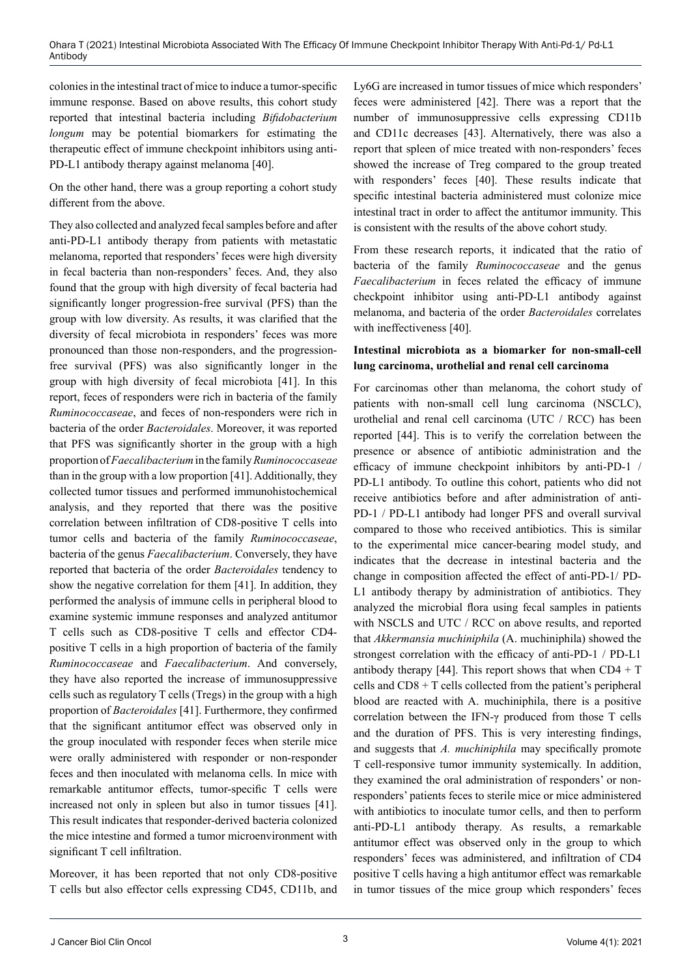colonies in the intestinal tract of mice to induce a tumor-specific immune response. Based on above results, this cohort study reported that intestinal bacteria including *Bifidobacterium longum* may be potential biomarkers for estimating the therapeutic effect of immune checkpoint inhibitors using anti-PD-L1 antibody therapy against melanoma [40].

On the other hand, there was a group reporting a cohort study different from the above.

They also collected and analyzed fecal samples before and after anti-PD-L1 antibody therapy from patients with metastatic melanoma, reported that responders' feces were high diversity in fecal bacteria than non-responders' feces. And, they also found that the group with high diversity of fecal bacteria had significantly longer progression-free survival (PFS) than the group with low diversity. As results, it was clarified that the diversity of fecal microbiota in responders' feces was more pronounced than those non-responders, and the progressionfree survival (PFS) was also significantly longer in the group with high diversity of fecal microbiota [41]. In this report, feces of responders were rich in bacteria of the family *Ruminococcaseae*, and feces of non-responders were rich in bacteria of the order *Bacteroidales*. Moreover, it was reported that PFS was significantly shorter in the group with a high proportion of *Faecalibacterium* in the family *Ruminococcaseae* than in the group with a low proportion [41]. Additionally, they collected tumor tissues and performed immunohistochemical analysis, and they reported that there was the positive correlation between infiltration of CD8-positive T cells into tumor cells and bacteria of the family *Ruminococcaseae*, bacteria of the genus *Faecalibacterium*. Conversely, they have reported that bacteria of the order *Bacteroidales* tendency to show the negative correlation for them [41]. In addition, they performed the analysis of immune cells in peripheral blood to examine systemic immune responses and analyzed antitumor T cells such as CD8-positive T cells and effector CD4 positive T cells in a high proportion of bacteria of the family *Ruminococcaseae* and *Faecalibacterium*. And conversely, they have also reported the increase of immunosuppressive cells such as regulatory T cells (Tregs) in the group with a high proportion of *Bacteroidales* [41]. Furthermore, they confirmed that the significant antitumor effect was observed only in the group inoculated with responder feces when sterile mice were orally administered with responder or non-responder feces and then inoculated with melanoma cells. In mice with remarkable antitumor effects, tumor-specific T cells were increased not only in spleen but also in tumor tissues [41]. This result indicates that responder-derived bacteria colonized the mice intestine and formed a tumor microenvironment with significant T cell infiltration.

Moreover, it has been reported that not only CD8-positive T cells but also effector cells expressing CD45, CD11b, and Ly6G are increased in tumor tissues of mice which responders' feces were administered [42]. There was a report that the number of immunosuppressive cells expressing CD11b and CD11c decreases [43]. Alternatively, there was also a report that spleen of mice treated with non-responders' feces showed the increase of Treg compared to the group treated with responders' feces [40]. These results indicate that specific intestinal bacteria administered must colonize mice intestinal tract in order to affect the antitumor immunity. This is consistent with the results of the above cohort study.

From these research reports, it indicated that the ratio of bacteria of the family *Ruminococcaseae* and the genus *Faecalibacterium* in feces related the efficacy of immune checkpoint inhibitor using anti-PD-L1 antibody against melanoma, and bacteria of the order *Bacteroidales* correlates with ineffectiveness [40].

### **Intestinal microbiota as a biomarker for non-small-cell lung carcinoma, urothelial and renal cell carcinoma**

For carcinomas other than melanoma, the cohort study of patients with non-small cell lung carcinoma (NSCLC), urothelial and renal cell carcinoma (UTC / RCC) has been reported [44]. This is to verify the correlation between the presence or absence of antibiotic administration and the efficacy of immune checkpoint inhibitors by anti-PD-1 / PD-L1 antibody. To outline this cohort, patients who did not receive antibiotics before and after administration of anti-PD-1 / PD-L1 antibody had longer PFS and overall survival compared to those who received antibiotics. This is similar to the experimental mice cancer-bearing model study, and indicates that the decrease in intestinal bacteria and the change in composition affected the effect of anti-PD-1/ PD-L1 antibody therapy by administration of antibiotics. They analyzed the microbial flora using fecal samples in patients with NSCLS and UTC / RCC on above results, and reported that *Akkermansia muchiniphila* (A. muchiniphila) showed the strongest correlation with the efficacy of anti-PD-1 / PD-L1 antibody therapy [44]. This report shows that when  $CD4 + T$ cells and CD8 + T cells collected from the patient's peripheral blood are reacted with A. muchiniphila, there is a positive correlation between the IFN-γ produced from those T cells and the duration of PFS. This is very interesting findings, and suggests that *A. muchiniphila* may specifically promote T cell-responsive tumor immunity systemically. In addition, they examined the oral administration of responders' or nonresponders' patients feces to sterile mice or mice administered with antibiotics to inoculate tumor cells, and then to perform anti-PD-L1 antibody therapy. As results, a remarkable antitumor effect was observed only in the group to which responders' feces was administered, and infiltration of CD4 positive T cells having a high antitumor effect was remarkable in tumor tissues of the mice group which responders' feces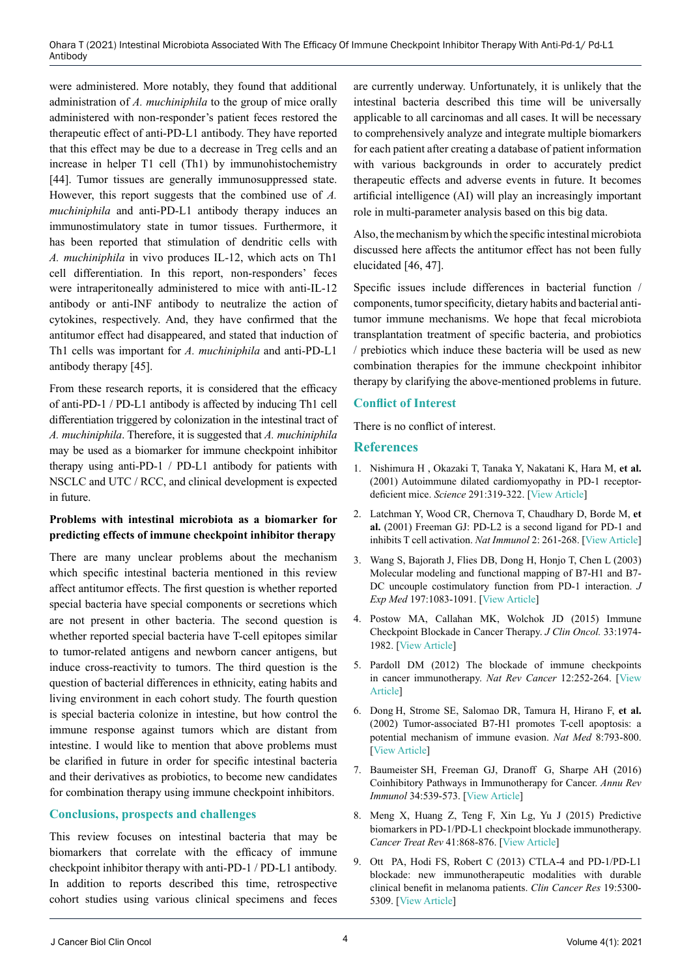were administered. More notably, they found that additional administration of *A. muchiniphila* to the group of mice orally administered with non-responder's patient feces restored the therapeutic effect of anti-PD-L1 antibody. They have reported that this effect may be due to a decrease in Treg cells and an increase in helper T1 cell (Th1) by immunohistochemistry [44]. Tumor tissues are generally immunosuppressed state. However, this report suggests that the combined use of *A. muchiniphila* and anti-PD-L1 antibody therapy induces an immunostimulatory state in tumor tissues. Furthermore, it has been reported that stimulation of dendritic cells with *A. muchiniphila* in vivo produces IL-12, which acts on Th1 cell differentiation. In this report, non-responders' feces were intraperitoneally administered to mice with anti-IL-12 antibody or anti-INF antibody to neutralize the action of cytokines, respectively. And, they have confirmed that the antitumor effect had disappeared, and stated that induction of Th1 cells was important for *A. muchiniphila* and anti-PD-L1 antibody therapy [45].

From these research reports, it is considered that the efficacy of anti-PD-1 / PD-L1 antibody is affected by inducing Th1 cell differentiation triggered by colonization in the intestinal tract of *A. muchiniphila*. Therefore, it is suggested that *A. muchiniphila* may be used as a biomarker for immune checkpoint inhibitor therapy using anti-PD-1 / PD-L1 antibody for patients with NSCLC and UTC / RCC, and clinical development is expected in future.

#### **Problems with intestinal microbiota as a biomarker for predicting effects of immune checkpoint inhibitor therapy**

There are many unclear problems about the mechanism which specific intestinal bacteria mentioned in this review affect antitumor effects. The first question is whether reported special bacteria have special components or secretions which are not present in other bacteria. The second question is whether reported special bacteria have T-cell epitopes similar to tumor-related antigens and newborn cancer antigens, but induce cross-reactivity to tumors. The third question is the question of bacterial differences in ethnicity, eating habits and living environment in each cohort study. The fourth question is special bacteria colonize in intestine, but how control the immune response against tumors which are distant from intestine. I would like to mention that above problems must be clarified in future in order for specific intestinal bacteria and their derivatives as probiotics, to become new candidates for combination therapy using immune checkpoint inhibitors.

## **Conclusions, prospects and challenges**

This review focuses on intestinal bacteria that may be biomarkers that correlate with the efficacy of immune checkpoint inhibitor therapy with anti-PD-1 / PD-L1 antibody. In addition to reports described this time, retrospective cohort studies using various clinical specimens and feces are currently underway. Unfortunately, it is unlikely that the intestinal bacteria described this time will be universally applicable to all carcinomas and all cases. It will be necessary to comprehensively analyze and integrate multiple biomarkers for each patient after creating a database of patient information with various backgrounds in order to accurately predict therapeutic effects and adverse events in future. It becomes artificial intelligence (AI) will play an increasingly important role in multi-parameter analysis based on this big data.

Also, the mechanism by which the specific intestinal microbiota discussed here affects the antitumor effect has not been fully elucidated [46, 47].

Specific issues include differences in bacterial function / components, tumor specificity, dietary habits and bacterial antitumor immune mechanisms. We hope that fecal microbiota transplantation treatment of specific bacteria, and probiotics / prebiotics which induce these bacteria will be used as new combination therapies for the immune checkpoint inhibitor therapy by clarifying the above-mentioned problems in future.

## **Conflict of Interest**

There is no conflict of interest.

#### **References**

- 1. [Nishimura](https://pubmed.ncbi.nlm.nih.gov/?term=Nishimura+H&cauthor_id=11209085) H , [Okazaki](https://pubmed.ncbi.nlm.nih.gov/?term=Okazaki+T&cauthor_id=11209085) T, [Tanaka](https://pubmed.ncbi.nlm.nih.gov/?term=Tanaka+Y&cauthor_id=11209085) Y, [Nakatani](https://pubmed.ncbi.nlm.nih.gov/?term=Nakatani+K&cauthor_id=11209085) K, [Hara](https://pubmed.ncbi.nlm.nih.gov/?term=Hara+M&cauthor_id=11209085) M, **et al.** (2001) Autoimmune dilated cardiomyopathy in PD-1 receptordeficient mice. *Science* 291:319-322. [\[View Article](doi: 10.1126/science.291.5502.319)]
- 2. [Latchman](https://pubmed.ncbi.nlm.nih.gov/?term=Latchman+Y&cauthor_id=11224527) Y, [Wood](https://pubmed.ncbi.nlm.nih.gov/?term=Wood+CR&cauthor_id=11224527) CR, [Chernova](https://pubmed.ncbi.nlm.nih.gov/?term=Chernova+T&cauthor_id=11224527) T, [Chaudhary](https://pubmed.ncbi.nlm.nih.gov/?term=Chaudhary+D&cauthor_id=11224527) D, [Borde](https://pubmed.ncbi.nlm.nih.gov/?term=Borde+M&cauthor_id=11224527) M, **et al.** (2001) [Freeman](https://pubmed.ncbi.nlm.nih.gov/?term=Freeman+GJ&cauthor_id=11224527) GJ: PD-L2 is a second ligand for PD-1 and inhibits T cell activation. *Nat Immunol* 2: 261-268. [\[View Article\]](doi: 10.1038/85330)
- 3. [Wang](https://pubmed.ncbi.nlm.nih.gov/?term=Wang+S&cauthor_id=12719480) S, [Bajorath](https://pubmed.ncbi.nlm.nih.gov/?term=Bajorath+J&cauthor_id=12719480) J, [Flies](https://pubmed.ncbi.nlm.nih.gov/?term=Flies+DB&cauthor_id=12719480) DB, [Dong](https://pubmed.ncbi.nlm.nih.gov/?term=Dong+H&cauthor_id=12719480) H, [Honjo](https://pubmed.ncbi.nlm.nih.gov/?term=Honjo+T&cauthor_id=12719480) T, [Chen](https://pubmed.ncbi.nlm.nih.gov/?term=Chen+L&cauthor_id=12719480) L (2003) Molecular modeling and functional mapping of B7-H1 and B7- DC uncouple costimulatory function from PD-1 interaction. *J Exp Med* 197:1083-1091. [[View Article\]](doi: 10.1084/jem.20021752)
- 4. [Postow](https://pubmed.ncbi.nlm.nih.gov/?term=Postow+MA&cauthor_id=25605845) MA, [Callahan](https://pubmed.ncbi.nlm.nih.gov/?term=Callahan+MK&cauthor_id=25605845) MK, [Wolchok](https://pubmed.ncbi.nlm.nih.gov/?term=Wolchok+JD&cauthor_id=25605845) JD (2015) Immune Checkpoint Blockade in Cancer Therapy. *J Clin Oncol.* 33:1974- 1982. [\[View Article](doi: 10.1200/JCO.2014.59.4358)]
- 5. Pardoll DM (2012) The blockade of immune checkpoints in cancer immunotherapy. *Nat Rev Cancer* 12:252-264. [[View](doi: 10.1038/nrc3239)  [Article\]](doi: 10.1038/nrc3239)
- 6. [Dong](https://pubmed.ncbi.nlm.nih.gov/?term=Dong+H&cauthor_id=12091876) H, [Strome](https://pubmed.ncbi.nlm.nih.gov/?term=Strome+SE&cauthor_id=12091876) SE, [Salomao](https://pubmed.ncbi.nlm.nih.gov/?term=Salomao+DR&cauthor_id=12091876) DR, [Tamura](https://pubmed.ncbi.nlm.nih.gov/?term=Tamura+H&cauthor_id=12091876) H, [Hirano](https://pubmed.ncbi.nlm.nih.gov/?term=Hirano+F&cauthor_id=12091876) F, **et al.** (2002) Tumor-associated B7-H1 promotes T-cell apoptosis: a potential mechanism of immune evasion. *Nat Med* 8:793-800. [[View Article\]](doi: 10.1038/nm730)
- 7. [Baumeister](https://pubmed.ncbi.nlm.nih.gov/?term=Baumeister+SH&cauthor_id=26927206) SH, [Freeman](https://pubmed.ncbi.nlm.nih.gov/?term=Freeman+GJ&cauthor_id=26927206) GJ, [Dranoff](https://pubmed.ncbi.nlm.nih.gov/?term=Dranoff+G&cauthor_id=26927206) G, [Sharpe](https://pubmed.ncbi.nlm.nih.gov/?term=Sharpe+AH&cauthor_id=26927206) AH (2016) Coinhibitory Pathways in Immunotherapy for Cancer. *Annu Rev Immunol* 34:539-573. [\[View Article\]](doi: 10.1146/annurev-immunol-032414-112049)
- 8. [Meng](https://pubmed.ncbi.nlm.nih.gov/?term=Meng+X&cauthor_id=26589760) X, [Huang](https://pubmed.ncbi.nlm.nih.gov/?term=Huang+Z&cauthor_id=26589760) Z, [Teng](https://pubmed.ncbi.nlm.nih.gov/?term=Teng+F&cauthor_id=26589760) F, [Xin Lg](https://pubmed.ncbi.nlm.nih.gov/?term=Xing+L&cauthor_id=26589760), [Yu](https://pubmed.ncbi.nlm.nih.gov/?term=Yu+J&cauthor_id=26589760) J (2015) Predictive biomarkers in PD-1/PD-L1 checkpoint blockade immunotherapy. *Cancer Treat Rev* 41:868-876. [\[View Article\]](doi: 10.1016/j.ctrv.2015.11.001)
- 9. [Ott](https://pubmed.ncbi.nlm.nih.gov/?term=Ott+PA&cauthor_id=24089443) PA, [Hodi](https://pubmed.ncbi.nlm.nih.gov/?term=Hodi+FS&cauthor_id=24089443) FS, [Robert](https://pubmed.ncbi.nlm.nih.gov/?term=Robert+C&cauthor_id=24089443) C (2013) CTLA-4 and PD-1/PD-L1 blockade: new immunotherapeutic modalities with durable clinical benefit in melanoma patients. *Clin Cancer Res* 19:5300- 5309. [\[View Article](doi: 10.1158/1078-0432.CCR-13-0143)]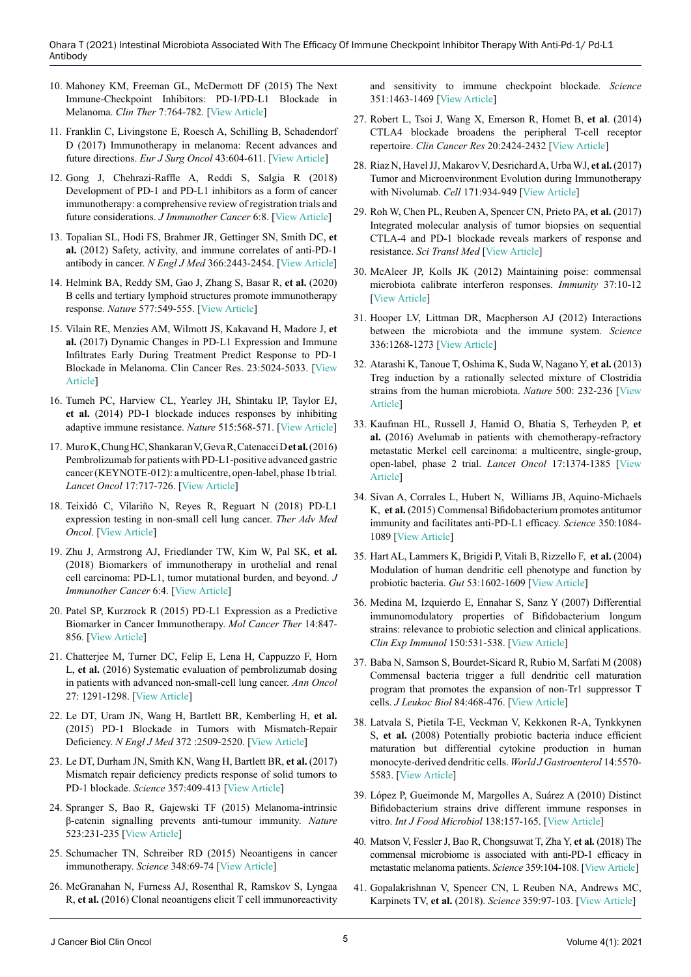- 10. [Mahoney](https://pubmed.ncbi.nlm.nih.gov/?term=Mahoney+KM&cauthor_id=25823918) KM, [Freeman](https://pubmed.ncbi.nlm.nih.gov/?term=Freeman+GJ&cauthor_id=25823918) GL, [McDermott](https://pubmed.ncbi.nlm.nih.gov/?term=McDermott+DF&cauthor_id=25823918) DF (2015) The Next Immune-Checkpoint Inhibitors: PD-1/PD-L1 Blockade in Melanoma. *Clin Ther* 7:764-782. [\[View Article\]](doi: 10.1016/j.clinthera.2015.02.018)
- 11. [Franklin](https://pubmed.ncbi.nlm.nih.gov/?term=Franklin+C&cauthor_id=27769635) C, [Livingstone](https://pubmed.ncbi.nlm.nih.gov/?term=Livingstone+E&cauthor_id=27769635) E, [Roesch](https://pubmed.ncbi.nlm.nih.gov/?term=Roesch+A&cauthor_id=27769635) A, [Schilling](https://pubmed.ncbi.nlm.nih.gov/?term=Schilling+B&cauthor_id=27769635) B, [Schadendorf](https://pubmed.ncbi.nlm.nih.gov/?term=Schadendorf+D&cauthor_id=27769635) D (2017) Immunotherapy in melanoma: Recent advances and future directions. *Eur J Surg Oncol* 43:604-611. [\[View Article\]](doi: 10.1016/j.ejso.2016.07.145)
- 12. [Gong](https://pubmed.ncbi.nlm.nih.gov/?term=Gong+J&cauthor_id=29357948) J, [Chehrazi-Raffle](https://pubmed.ncbi.nlm.nih.gov/?term=Chehrazi-Raffle+A&cauthor_id=29357948) A, [Reddi](https://pubmed.ncbi.nlm.nih.gov/?term=Reddi+S&cauthor_id=29357948) S, [Salgia](https://pubmed.ncbi.nlm.nih.gov/?term=Salgia+R&cauthor_id=29357948) R (2018) Development of PD-1 and PD-L1 inhibitors as a form of cancer immunotherapy: a comprehensive review of registration trials and future considerations. *J Immunother Cancer* 6:8. [\[View Article\]](doi: 10.1186/s40425-018-0316-z)
- 13. Topalian SL, Hodi FS, Brahmer JR, Gettinger SN, Smith DC, **et al.** (2012) Safety, activity, and immune correlates of anti-PD-1 antibody in cancer. *N Engl J Med* 366:2443-2454. [[View Article](doi: 10.1056/NEJMoa1200690)]
- 14. Helmink BA, Reddy SM, Gao J, Zhang S, Basar R, **et al.** (2020) B cells and tertiary lymphoid structures promote immunotherapy response. *Nature* 577:549-555. [\[View Article\]](doi: 10.1038/s41586-019-1922-8)
- 15. Vilain RE, Menzies AM, Wilmott JS, Kakavand H, Madore J, **et al.** (2017) Dynamic Changes in PD-L1 Expression and Immune Infiltrates Early During Treatment Predict Response to PD-1 Blockade in Melanoma. Clin Cancer Res. 23:5024-5033. [[View](doi: 10.1158/1078-0432.CCR-16-0698)  [Article\]](doi: 10.1158/1078-0432.CCR-16-0698)
- 16. Tumeh PC, Harview CL, Yearley JH, Shintaku IP, Taylor EJ, **et al.** (2014) PD-1 blockade induces responses by inhibiting adaptive immune resistance. *Nature* 515:568-571. [[View Article](doi: 10.1038/nature13954)]
- 17. [Muro](https://pubmed.ncbi.nlm.nih.gov/?term=Muro+K&cauthor_id=27157491) K,[Chung](https://pubmed.ncbi.nlm.nih.gov/?term=Chung+HC&cauthor_id=27157491) HC,[Shankaran](https://pubmed.ncbi.nlm.nih.gov/?term=Shankaran+V&cauthor_id=27157491) V,[Geva](https://pubmed.ncbi.nlm.nih.gov/?term=Geva+R&cauthor_id=27157491) R,[Catenacci](https://pubmed.ncbi.nlm.nih.gov/?term=Catenacci+D&cauthor_id=27157491) D **et al.** (2016) Pembrolizumab for patients with PD-L1-positive advanced gastric cancer (KEYNOTE-012): a multicentre, open-label, phase 1b trial. *Lancet Oncol* 17:717-726. [[View Article](doi: 10.1016/S1470-2045(16)00175-3)]
- 18. [Teixidó](https://pubmed.ncbi.nlm.nih.gov/?term=Teixid%C3%B3+C&cauthor_id=29662547) C, [Vilariño](https://pubmed.ncbi.nlm.nih.gov/?term=Vilari%C3%B1o+N&cauthor_id=29662547) N, [Reyes](https://pubmed.ncbi.nlm.nih.gov/?term=Reyes+R&cauthor_id=29662547) R, [Reguart](https://pubmed.ncbi.nlm.nih.gov/?term=Reguart+N&cauthor_id=29662547) N (2018) PD-L1 expression testing in non-small cell lung cancer. *Ther Adv Med Oncol*. [\[View Article\]](doi: 10.1177/1758835918763493)
- 19. [Zhu](https://pubmed.ncbi.nlm.nih.gov/?term=Zhu+J&cauthor_id=29368638) J, [Armstrong](https://pubmed.ncbi.nlm.nih.gov/?term=Armstrong+AJ&cauthor_id=29368638) AJ, [Friedlander](https://pubmed.ncbi.nlm.nih.gov/?term=Friedlander+TW&cauthor_id=29368638) TW, [Kim](https://pubmed.ncbi.nlm.nih.gov/?term=Kim+W&cauthor_id=29368638) W, [Pal](https://pubmed.ncbi.nlm.nih.gov/?term=Pal+SK&cauthor_id=29368638) SK, **et al.** (2018) Biomarkers of immunotherapy in urothelial and renal cell carcinoma: PD-L1, tumor mutational burden, and beyond. *J Immunother Cancer* 6:4. [[View Article](doi: 10.1186/s40425-018-0314-1)]
- 20. [Patel](https://pubmed.ncbi.nlm.nih.gov/?term=Patel+SP&cauthor_id=25695955) SP, [Kurzrock](https://pubmed.ncbi.nlm.nih.gov/?term=Kurzrock+R&cauthor_id=25695955) R (2015) PD-L1 Expression as a Predictive Biomarker in Cancer Immunotherapy. *Mol Cancer Ther* 14:847- 856. [[View Article](doi: 10.1158/1535-7163.MCT-14-0983)]
- 21. Chatterjee M, Turner DC, Felip E, Lena H, Cappuzzo F, Horn L, **et al.** (2016) Systematic evaluation of pembrolizumab dosing in patients with advanced non-small-cell lung cancer. *Ann Oncol* 27: 1291-1298. [[View Article\]](https://www.annalsofoncology.org/article/S0923-7534(19)35698-4/fulltext)
- 22. Le DT, Uram JN, Wang H, Bartlett BR, Kemberling H, **et al.** (2015) PD-1 Blockade in Tumors with Mismatch-Repair Deficiency. *N Engl J Med* 372 :2509-2520. [\[View Article](https://pubmed.ncbi.nlm.nih.gov/26028255/)]
- 23. [Le](https://pubmed.ncbi.nlm.nih.gov/?term=Le+DT&cauthor_id=28596308) DT, Durham JN, Smith KN, Wang H, Bartlett BR, **et al.** (2017) Mismatch repair deficiency predicts response of solid tumors to PD-1 blockade. *Science* 357:409-413 [[View Article\]](https://www.science.org/doi/full/10.1126/science.aan6733)
- 24. Spranger S, Bao R, Gajewski TF (2015) Melanoma-intrinsic β-catenin signalling prevents anti-tumour immunity. *Nature* 523:231-235 [[View Article\]](https://pubmed.ncbi.nlm.nih.gov/25970248/)
- 25. Schumacher TN, Schreiber RD (2015) Neoantigens in cancer immunotherapy. *Science* 348:69-74 [[View Article](https://pubmed.ncbi.nlm.nih.gov/25838375/)]
- 26. McGranahan N, Furness AJ, Rosenthal R, Ramskov S, Lyngaa R, **et al.** (2016) Clonal neoantigens elicit T cell immunoreactivity

and sensitivity to immune checkpoint blockade. *Science* 351:1463-1469 [\[View Article\]](https://pubmed.ncbi.nlm.nih.gov/26940869/)

- 27. Robert L, Tsoi J, Wang X, Emerson R, Homet B, **et al**. (2014) CTLA4 blockade broadens the peripheral T-cell receptor repertoire. *Clin Cancer Res* 20:2424-2432 [[View Article\]](https://pubmed.ncbi.nlm.nih.gov/24583799/)
- 28. Riaz N, Havel JJ, Makarov V, Desrichard A, Urba WJ, **et al.** (2017) Tumor and Microenvironment Evolution during Immunotherapy with Nivolumab. *Cell* 171:934-949 [[View Article](https://pubmed.ncbi.nlm.nih.gov/29033130/)]
- 29. Roh W, Chen PL, Reuben A, Spencer CN, Prieto PA, **et al.** (2017) Integrated molecular analysis of tumor biopsies on sequential CTLA-4 and PD-1 blockade reveals markers of response and resistance. *Sci Transl Med* [[View Article](https://pubmed.ncbi.nlm.nih.gov/28251903/)]
- 30. McAleer JP, Kolls JK (2012) Maintaining poise: commensal microbiota calibrate interferon responses. *Immunity* 37:10-12 [[View Article\]](https://pubmed.ncbi.nlm.nih.gov/22840839/)
- 31. [Hooper](https://pubmed.ncbi.nlm.nih.gov/?term=Hooper+LV&cauthor_id=22674334) LV, [Littman](https://pubmed.ncbi.nlm.nih.gov/?term=Littman+DR&cauthor_id=22674334) DR, [Macpherson](https://pubmed.ncbi.nlm.nih.gov/?term=Macpherson+AJ&cauthor_id=22674334) AJ (2012) Interactions between the microbiota and the immune system. *Science* 336:1268-1273 [\[View Article\]](https://pubmed.ncbi.nlm.nih.gov/22674334/)
- 32. Atarashi K, Tanoue T, Oshima K, Suda W, Nagano Y, **et al.** (2013) Treg induction by a rationally selected mixture of Clostridia strains from the human microbiota. *Nature* 500: 232-236 [[View](https://www.nature.com/articles/nature12331)  [Article\]](https://www.nature.com/articles/nature12331)
- 33. Kaufman HL, Russell J, Hamid O, Bhatia S, Terheyden P, **et al.** (2016) Avelumab in patients with chemotherapy-refractory metastatic Merkel cell carcinoma: a multicentre, single-group, open-label, phase 2 trial. *Lancet Oncol* 17:1374-1385 [[View](https://pubmed.ncbi.nlm.nih.gov/27592805/)  [Article\]](https://pubmed.ncbi.nlm.nih.gov/27592805/)
- 34. Sivan A, Corrales L, Hubert N, Williams JB, Aquino-Michaels K, **et al.** (2015) Commensal Bifidobacterium promotes antitumor immunity and facilitates anti-PD-L1 efficacy. *Science* 350:1084- 1089 [\[View Article\]](https://pubmed.ncbi.nlm.nih.gov/26541606/)
- 35. Hart AL, Lammers K, Brigidi P, Vitali B, Rizzello F, **et al.** (2004) Modulation of human dendritic cell phenotype and function by probiotic bacteria. *Gut* 53:1602-1609 [\[View Article\]](https://pubmed.ncbi.nlm.nih.gov/15479680/)
- 36. [Medina](https://pubmed.ncbi.nlm.nih.gov/?term=Medina+M&cauthor_id=17956582) M, [Izquierdo](https://pubmed.ncbi.nlm.nih.gov/?term=Izquierdo+E&cauthor_id=17956582) E, [Ennahar](https://pubmed.ncbi.nlm.nih.gov/?term=Ennahar+S&cauthor_id=17956582) S, [Sanz](https://pubmed.ncbi.nlm.nih.gov/?term=Sanz+Y&cauthor_id=17956582) Y (2007) Differential immunomodulatory properties of Bifidobacterium longum strains: relevance to probiotic selection and clinical applications. *Clin Exp Immunol* 150:531-538. [[View Article](doi: 10.1111/j.1365-2249.2007.03522.x)]
- 37. Baba N, Samson S, Bourdet-Sicard R, Rubio M, Sarfati M (2008) Commensal bacteria trigger a full dendritic cell maturation program that promotes the expansion of non-Tr1 suppressor T cells. *J Leukoc Biol* 84:468-476. [[View Article](doi: 10.1189/jlb.0108017)]
- 38. Latvala S, Pietila T-E, Veckman V, Kekkonen R-A, Tynkkynen S, **et al.** (2008) Potentially probiotic bacteria induce efficient maturation but differential cytokine production in human monocyte-derived dendritic cells. *World J Gastroenterol* 14:5570- 5583. [\[View Article](doi: 10.3748/wjg.14.5570)]
- 39. López P, Gueimonde M, Margolles A, Suárez A (2010) Distinct Bifidobacterium strains drive different immune responses in vitro. *Int J Food Microbiol* 138:157-165. [[View Article](doi: 10.1016/j.ijfoodmicro.2009.12.023)]
- 40. Matson V, Fessler J, Bao R, Chongsuwat T, Zha Y, **et al.** (2018) The commensal microbiome is associated with anti-PD-1 efficacy in metastatic melanoma patients. *Science* 359:104-108. [\[View Article](doi: 10.1126/science.aao3290)]
- 41. Gopalakrishnan V, Spencer CN, L Reuben NA, Andrews MC, Karpinets TV, **et al.** (2018). *Science* 359:97-103. [\[View Article](doi: 10.1126/science.aan4236)]